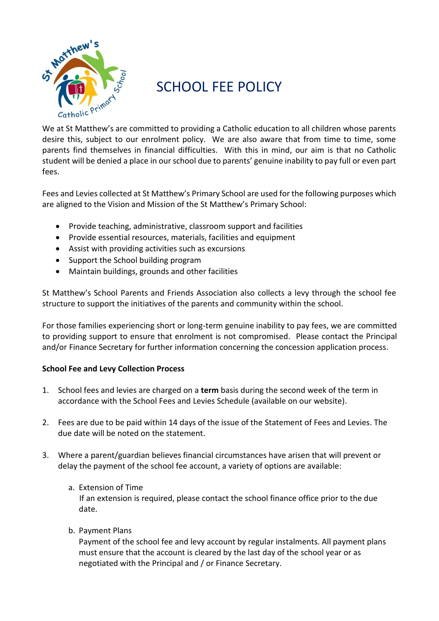

# SCHOOL FFF POLICY

We at St Matthew's are committed to providing a Catholic education to all children whose parents desire this, subject to our enrolment policy. We are also aware that from time to time, some parents find themselves in financial difficulties. With this in mind, our aim is that no Catholic student will be denied a place in our school due to parents' genuine inability to pay full or even part fees.

Fees and Levies collected at St Matthew's Primary School are used for the following purposes which are aligned to the Vision and Mission of the St Matthew's Primary School:

- Provide teaching, administrative, classroom support and facilities
- Provide essential resources, materials, facilities and equipment
- Assist with providing activities such as excursions
- Support the School building program
- Maintain buildings, grounds and other facilities

St Matthew's School Parents and Friends Association also collects a levy through the school fee structure to support the initiatives of the parents and community within the school.

For those families experiencing short or long-term genuine inability to pay fees, we are committed to providing support to ensure that enrolment is not compromised. Please contact the Principal and/or Finance Secretary for further information concerning the concession application process.

# **School Fee and Levy Collection Process**

- 1. School fees and levies are charged on a **term** basis during the second week of the term in accordance with the School Fees and Levies Schedule (available on our website).
- 2. Fees are due to be paid within 14 days of the issue of the Statement of Fees and Levies. The due date will be noted on the statement.
- 3. Where a parent/guardian believes financial circumstances have arisen that will prevent or delay the payment of the school fee account, a variety of options are available:
	- a. Extension of Time

 If an extension is required, please contact the school finance office prior to the due date.

b. Payment Plans

Payment of the school fee and levy account by regular instalments. All payment plans must ensure that the account is cleared by the last day of the school year or as negotiated with the Principal and / or Finance Secretary.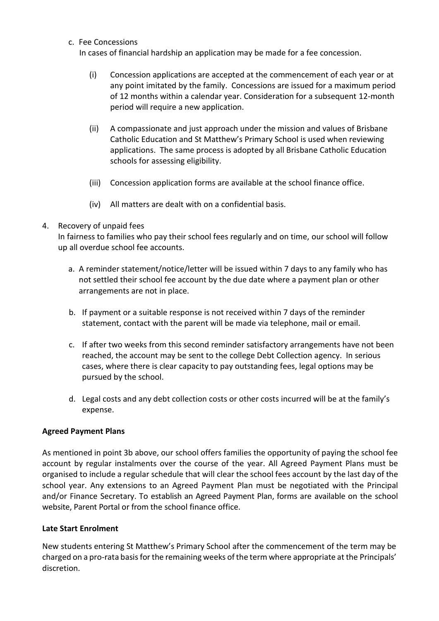c. Fee Concessions

In cases of financial hardship an application may be made for a fee concession.

- (i) Concession applications are accepted at the commencement of each year or at any point imitated by the family. Concessions are issued for a maximum period of 12 months within a calendar year. Consideration for a subsequent 12-month period will require a new application.
- (ii) A compassionate and just approach under the mission and values of Brisbane Catholic Education and St Matthew's Primary School is used when reviewing applications. The same process is adopted by all Brisbane Catholic Education schools for assessing eligibility.
- (iii) Concession application forms are available at the school finance office.
- (iv) All matters are dealt with on a confidential basis.

## 4. Recovery of unpaid fees

In fairness to families who pay their school fees regularly and on time, our school will follow up all overdue school fee accounts.

- a. A reminder statement/notice/letter will be issued within 7 days to any family who has not settled their school fee account by the due date where a payment plan or other arrangements are not in place.
- b. If payment or a suitable response is not received within 7 days of the reminder statement, contact with the parent will be made via telephone, mail or email.
- c. If after two weeks from this second reminder satisfactory arrangements have not been reached, the account may be sent to the college Debt Collection agency. In serious cases, where there is clear capacity to pay outstanding fees, legal options may be pursued by the school.
- d. Legal costs and any debt collection costs or other costs incurred will be at the family's expense.

# **Agreed Payment Plans**

As mentioned in point 3b above, our school offers families the opportunity of paying the school fee account by regular instalments over the course of the year. All Agreed Payment Plans must be organised to include a regular schedule that will clear the school fees account by the last day of the school year. Any extensions to an Agreed Payment Plan must be negotiated with the Principal and/or Finance Secretary. To establish an Agreed Payment Plan, forms are available on the school website, Parent Portal or from the school finance office.

#### **Late Start Enrolment**

New students entering St Matthew's Primary School after the commencement of the term may be charged on a pro-rata basis for the remaining weeks of the term where appropriate at the Principals' discretion.